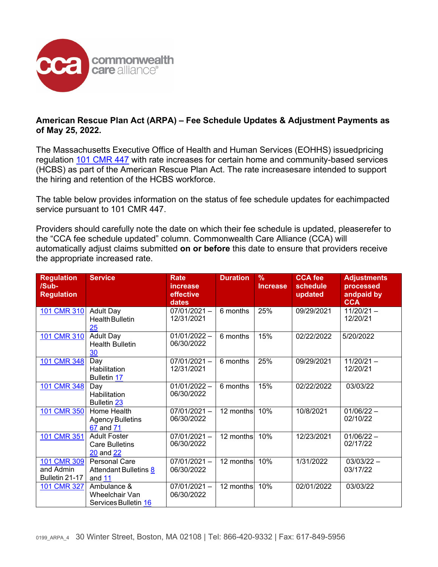

## **American Rescue Plan Act (ARPA) – Fee Schedule Updates & Adjustment Payments as of May 25, 2022.**

The Massachusetts Executive Office of Health and Human Services (EOHHS) issuedpricing regulation [101 CMR 447](https://www.mass.gov/regulations/101-CMR-44700-rates-for-certain-home-and-community-based-services-related-to-section-9817-of-the-american-rescue-plan-act) with rate increases for certain home and community-based services (HCBS) as part of the American Rescue Plan Act. The rate increasesare intended to support the hiring and retention of the HCBS workforce.

The table below provides information on the status of fee schedule updates for eachimpacted service pursuant to 101 CMR 447.

Providers should carefully note the date on which their fee schedule is updated, pleaserefer to the "CCA fee schedule updated" column. Commonwealth Care Alliance (CCA) will automatically adjust claims submitted **on or before** this date to ensure that providers receive the appropriate increased rate.

| <b>Regulation</b><br>/Sub-<br><b>Regulation</b> | <b>Service</b>                                                 | Rate<br>increase<br>effective<br>dates | <b>Duration</b> | $\%$<br><b>Increase</b> | <b>CCA fee</b><br>schedule<br>updated | <b>Adjustments</b><br>processed<br>andpaid by<br><b>CCA</b> |
|-------------------------------------------------|----------------------------------------------------------------|----------------------------------------|-----------------|-------------------------|---------------------------------------|-------------------------------------------------------------|
| 101 CMR 310                                     | <b>Adult Day</b><br><b>Health Bulletin</b><br>25               | $07/01/2021 -$<br>12/31/2021           | 6 months        | 25%                     | 09/29/2021                            | $11/20/21 -$<br>12/20/21                                    |
| 101 CMR 310                                     | <b>Adult Day</b><br><b>Health Bulletin</b><br>30               | $01/01/2022 -$<br>06/30/2022           | 6 months        | 15%                     | 02/22/2022                            | 5/20/2022                                                   |
| 101 CMR 348                                     | Day<br>Habilitation<br><b>Bulletin 17</b>                      | $07/01/2021 -$<br>12/31/2021           | 6 months        | 25%                     | 09/29/2021                            | $11/20/21 -$<br>12/20/21                                    |
| 101 CMR 348                                     | Day<br>Habilitation<br><b>Bulletin 23</b>                      | $01/01/2022 -$<br>06/30/2022           | 6 months        | 15%                     | 02/22/2022                            | 03/03/22                                                    |
| 101 CMR 350                                     | Home Health<br><b>Agency Bulletins</b><br>67 and 71            | $07/01/2021 -$<br>06/30/2022           | 12 months       | 10%                     | 10/8/2021                             | $01/06/22 -$<br>02/10/22                                    |
| 101 CMR 351                                     | <b>Adult Foster</b><br><b>Care Bulletins</b><br>20 and 22      | $07/01/2021 -$<br>06/30/2022           | 12 months       | 10%                     | 12/23/2021                            | $01/06/22 -$<br>02/17/22                                    |
| 101 CMR 309<br>and Admin<br>Bulletin 21-17      | <b>Personal Care</b><br><b>Attendant Bulletins 8</b><br>and 11 | $07/01/2021 -$<br>06/30/2022           | 12 months       | 10%                     | 1/31/2022                             | $03/03/22 -$<br>03/17/22                                    |
| 101 CMR 327                                     | Ambulance &<br>Wheelchair Van<br>Services Bulletin 16          | $07/01/2021 -$<br>06/30/2022           | 12 months       | 10%                     | 02/01/2022                            | 03/03/22                                                    |